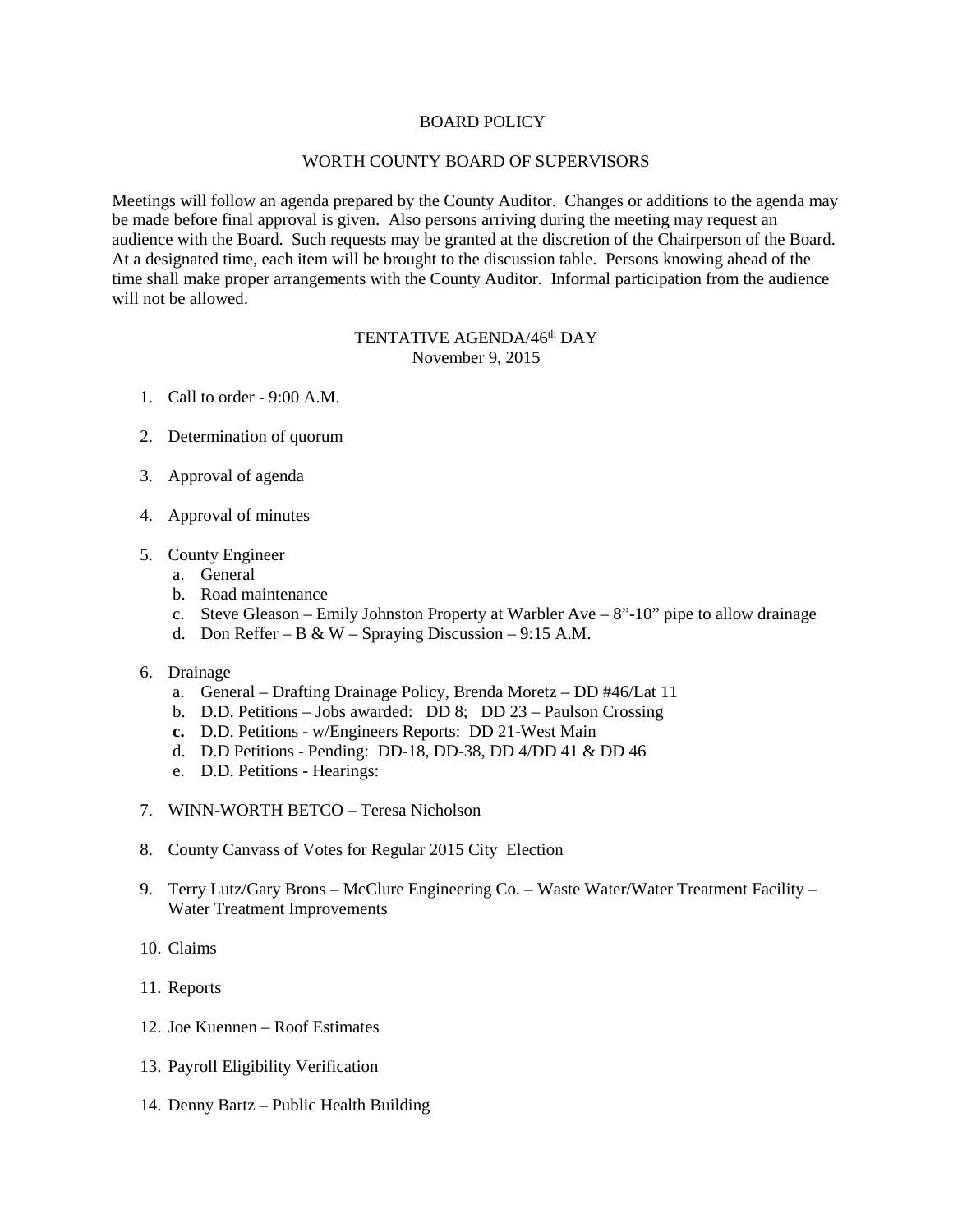## BOARD POLICY

## WORTH COUNTY BOARD OF SUPERVISORS

Meetings will follow an agenda prepared by the County Auditor. Changes or additions to the agenda may be made before final approval is given. Also persons arriving during the meeting may request an audience with the Board. Such requests may be granted at the discretion of the Chairperson of the Board. At a designated time, each item will be brought to the discussion table. Persons knowing ahead of the time shall make proper arrangements with the County Auditor. Informal participation from the audience will not be allowed.

## TENTATIVE AGENDA/46<sup>th</sup> DAY November 9, 2015

- 1. Call to order 9:00 A.M.
- 2. Determination of quorum
- 3. Approval of agenda
- 4. Approval of minutes
- 5. County Engineer
	- a. General
	- b. Road maintenance
	- c. Steve Gleason Emily Johnston Property at Warbler Ave 8"-10" pipe to allow drainage
	- d. Don Reffer B & W Spraying Discussion 9:15 A.M.
- 6. Drainage
	- a. General Drafting Drainage Policy, Brenda Moretz DD #46/Lat 11
	- b. D.D. Petitions Jobs awarded: DD 8; DD 23 Paulson Crossing
	- **c.** D.D. Petitions w/Engineers Reports: DD 21-West Main
	- d. D.D Petitions Pending: DD-18, DD-38, DD 4/DD 41 & DD 46
	- e. D.D. Petitions Hearings:
- 7. WINN-WORTH BETCO Teresa Nicholson
- 8. County Canvass of Votes for Regular 2015 City Election
- 9. Terry Lutz/Gary Brons McClure Engineering Co. Waste Water/Water Treatment Facility Water Treatment Improvements
- 10. Claims
- 11. Reports
- 12. Joe Kuennen Roof Estimates
- 13. Payroll Eligibility Verification
- 14. Denny Bartz Public Health Building